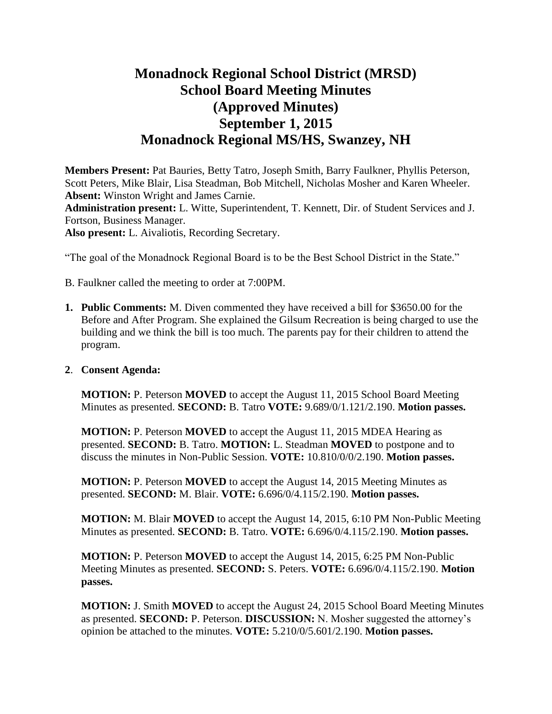# **Monadnock Regional School District (MRSD) School Board Meeting Minutes (Approved Minutes) September 1, 2015 Monadnock Regional MS/HS, Swanzey, NH**

**Members Present:** Pat Bauries, Betty Tatro, Joseph Smith, Barry Faulkner, Phyllis Peterson, Scott Peters, Mike Blair, Lisa Steadman, Bob Mitchell, Nicholas Mosher and Karen Wheeler. **Absent:** Winston Wright and James Carnie.

**Administration present:** L. Witte, Superintendent, T. Kennett, Dir. of Student Services and J. Fortson, Business Manager.

**Also present:** L. Aivaliotis, Recording Secretary.

"The goal of the Monadnock Regional Board is to be the Best School District in the State."

B. Faulkner called the meeting to order at 7:00PM.

**1. Public Comments:** M. Diven commented they have received a bill for \$3650.00 for the Before and After Program. She explained the Gilsum Recreation is being charged to use the building and we think the bill is too much. The parents pay for their children to attend the program.

#### **2**. **Consent Agenda:**

**MOTION:** P. Peterson **MOVED** to accept the August 11, 2015 School Board Meeting Minutes as presented. **SECOND:** B. Tatro **VOTE:** 9.689/0/1.121/2.190. **Motion passes.** 

**MOTION:** P. Peterson **MOVED** to accept the August 11, 2015 MDEA Hearing as presented. **SECOND:** B. Tatro. **MOTION:** L. Steadman **MOVED** to postpone and to discuss the minutes in Non-Public Session. **VOTE:** 10.810/0/0/2.190. **Motion passes.** 

**MOTION:** P. Peterson **MOVED** to accept the August 14, 2015 Meeting Minutes as presented. **SECOND:** M. Blair. **VOTE:** 6.696/0/4.115/2.190. **Motion passes.**

**MOTION:** M. Blair **MOVED** to accept the August 14, 2015, 6:10 PM Non-Public Meeting Minutes as presented. **SECOND:** B. Tatro. **VOTE:** 6.696/0/4.115/2.190. **Motion passes.** 

**MOTION:** P. Peterson **MOVED** to accept the August 14, 2015, 6:25 PM Non-Public Meeting Minutes as presented. **SECOND:** S. Peters. **VOTE:** 6.696/0/4.115/2.190. **Motion passes.** 

**MOTION:** J. Smith **MOVED** to accept the August 24, 2015 School Board Meeting Minutes as presented. **SECOND:** P. Peterson. **DISCUSSION:** N. Mosher suggested the attorney's opinion be attached to the minutes. **VOTE:** 5.210/0/5.601/2.190. **Motion passes.**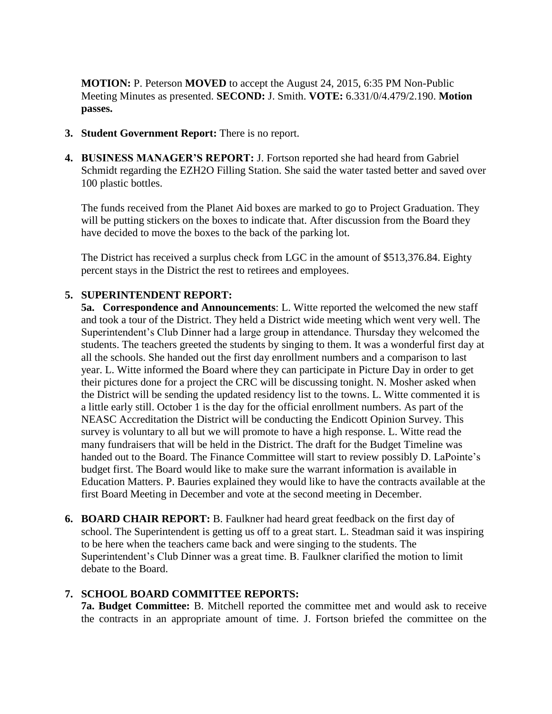**MOTION:** P. Peterson **MOVED** to accept the August 24, 2015, 6:35 PM Non-Public Meeting Minutes as presented. **SECOND:** J. Smith. **VOTE:** 6.331/0/4.479/2.190. **Motion passes.** 

- **3. Student Government Report:** There is no report.
- **4. BUSINESS MANAGER'S REPORT:** J. Fortson reported she had heard from Gabriel Schmidt regarding the EZH2O Filling Station. She said the water tasted better and saved over 100 plastic bottles.

The funds received from the Planet Aid boxes are marked to go to Project Graduation. They will be putting stickers on the boxes to indicate that. After discussion from the Board they have decided to move the boxes to the back of the parking lot.

The District has received a surplus check from LGC in the amount of \$513,376.84. Eighty percent stays in the District the rest to retirees and employees.

## **5. SUPERINTENDENT REPORT:**

**5a. Correspondence and Announcements**: L. Witte reported the welcomed the new staff and took a tour of the District. They held a District wide meeting which went very well. The Superintendent's Club Dinner had a large group in attendance. Thursday they welcomed the students. The teachers greeted the students by singing to them. It was a wonderful first day at all the schools. She handed out the first day enrollment numbers and a comparison to last year. L. Witte informed the Board where they can participate in Picture Day in order to get their pictures done for a project the CRC will be discussing tonight. N. Mosher asked when the District will be sending the updated residency list to the towns. L. Witte commented it is a little early still. October 1 is the day for the official enrollment numbers. As part of the NEASC Accreditation the District will be conducting the Endicott Opinion Survey. This survey is voluntary to all but we will promote to have a high response. L. Witte read the many fundraisers that will be held in the District. The draft for the Budget Timeline was handed out to the Board. The Finance Committee will start to review possibly D. LaPointe's budget first. The Board would like to make sure the warrant information is available in Education Matters. P. Bauries explained they would like to have the contracts available at the first Board Meeting in December and vote at the second meeting in December.

**6. BOARD CHAIR REPORT:** B. Faulkner had heard great feedback on the first day of school. The Superintendent is getting us off to a great start. L. Steadman said it was inspiring to be here when the teachers came back and were singing to the students. The Superintendent's Club Dinner was a great time. B. Faulkner clarified the motion to limit debate to the Board.

## **7. SCHOOL BOARD COMMITTEE REPORTS:**

**7a. Budget Committee:** B. Mitchell reported the committee met and would ask to receive the contracts in an appropriate amount of time. J. Fortson briefed the committee on the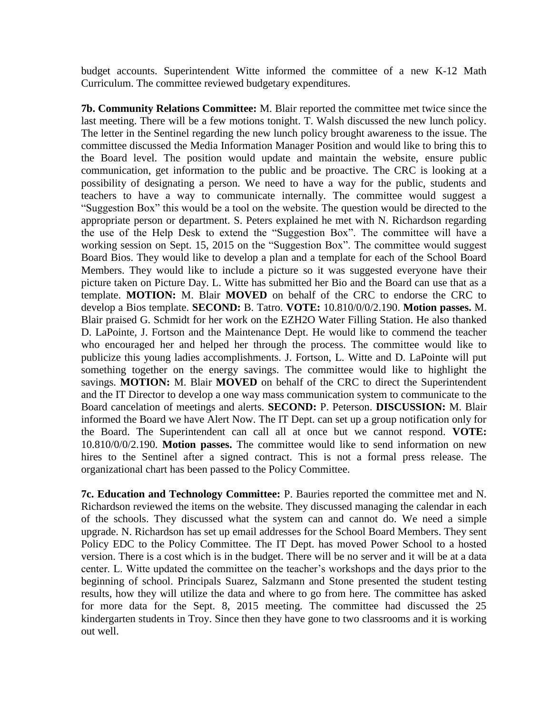budget accounts. Superintendent Witte informed the committee of a new K-12 Math Curriculum. The committee reviewed budgetary expenditures.

**7b. Community Relations Committee:** M. Blair reported the committee met twice since the last meeting. There will be a few motions tonight. T. Walsh discussed the new lunch policy. The letter in the Sentinel regarding the new lunch policy brought awareness to the issue. The committee discussed the Media Information Manager Position and would like to bring this to the Board level. The position would update and maintain the website, ensure public communication, get information to the public and be proactive. The CRC is looking at a possibility of designating a person. We need to have a way for the public, students and teachers to have a way to communicate internally. The committee would suggest a "Suggestion Box" this would be a tool on the website. The question would be directed to the appropriate person or department. S. Peters explained he met with N. Richardson regarding the use of the Help Desk to extend the "Suggestion Box". The committee will have a working session on Sept. 15, 2015 on the "Suggestion Box". The committee would suggest Board Bios. They would like to develop a plan and a template for each of the School Board Members. They would like to include a picture so it was suggested everyone have their picture taken on Picture Day. L. Witte has submitted her Bio and the Board can use that as a template. **MOTION:** M. Blair **MOVED** on behalf of the CRC to endorse the CRC to develop a Bios template. **SECOND:** B. Tatro. **VOTE:** 10.810/0/0/2.190. **Motion passes.** M. Blair praised G. Schmidt for her work on the EZH2O Water Filling Station. He also thanked D. LaPointe, J. Fortson and the Maintenance Dept. He would like to commend the teacher who encouraged her and helped her through the process. The committee would like to publicize this young ladies accomplishments. J. Fortson, L. Witte and D. LaPointe will put something together on the energy savings. The committee would like to highlight the savings. **MOTION:** M. Blair **MOVED** on behalf of the CRC to direct the Superintendent and the IT Director to develop a one way mass communication system to communicate to the Board cancelation of meetings and alerts. **SECOND:** P. Peterson. **DISCUSSION:** M. Blair informed the Board we have Alert Now. The IT Dept. can set up a group notification only for the Board. The Superintendent can call all at once but we cannot respond. **VOTE:**  10.810/0/0/2.190. **Motion passes.** The committee would like to send information on new hires to the Sentinel after a signed contract. This is not a formal press release. The organizational chart has been passed to the Policy Committee.

 **7c. Education and Technology Committee:** P. Bauries reported the committee met and N. Richardson reviewed the items on the website. They discussed managing the calendar in each of the schools. They discussed what the system can and cannot do. We need a simple upgrade. N. Richardson has set up email addresses for the School Board Members. They sent Policy EDC to the Policy Committee. The IT Dept. has moved Power School to a hosted version. There is a cost which is in the budget. There will be no server and it will be at a data center. L. Witte updated the committee on the teacher's workshops and the days prior to the beginning of school. Principals Suarez, Salzmann and Stone presented the student testing results, how they will utilize the data and where to go from here. The committee has asked for more data for the Sept. 8, 2015 meeting. The committee had discussed the 25 kindergarten students in Troy. Since then they have gone to two classrooms and it is working out well.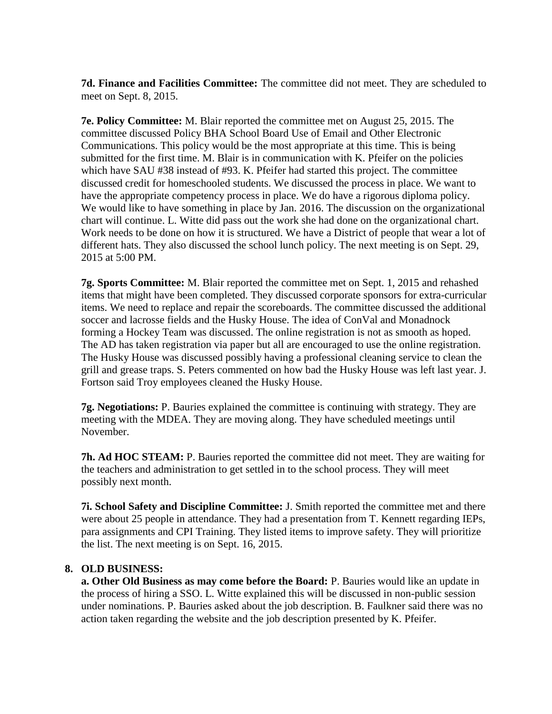**7d. Finance and Facilities Committee:** The committee did not meet. They are scheduled to meet on Sept. 8, 2015.

**7e. Policy Committee:** M. Blair reported the committee met on August 25, 2015. The committee discussed Policy BHA School Board Use of Email and Other Electronic Communications. This policy would be the most appropriate at this time. This is being submitted for the first time. M. Blair is in communication with K. Pfeifer on the policies which have SAU #38 instead of #93. K. Pfeifer had started this project. The committee discussed credit for homeschooled students. We discussed the process in place. We want to have the appropriate competency process in place. We do have a rigorous diploma policy. We would like to have something in place by Jan. 2016. The discussion on the organizational chart will continue. L. Witte did pass out the work she had done on the organizational chart. Work needs to be done on how it is structured. We have a District of people that wear a lot of different hats. They also discussed the school lunch policy. The next meeting is on Sept. 29, 2015 at 5:00 PM.

**7g. Sports Committee:** M. Blair reported the committee met on Sept. 1, 2015 and rehashed items that might have been completed. They discussed corporate sponsors for extra-curricular items. We need to replace and repair the scoreboards. The committee discussed the additional soccer and lacrosse fields and the Husky House. The idea of ConVal and Monadnock forming a Hockey Team was discussed. The online registration is not as smooth as hoped. The AD has taken registration via paper but all are encouraged to use the online registration. The Husky House was discussed possibly having a professional cleaning service to clean the grill and grease traps. S. Peters commented on how bad the Husky House was left last year. J. Fortson said Troy employees cleaned the Husky House.

**7g. Negotiations:** P. Bauries explained the committee is continuing with strategy. They are meeting with the MDEA. They are moving along. They have scheduled meetings until November.

**7h. Ad HOC STEAM:** P. Bauries reported the committee did not meet. They are waiting for the teachers and administration to get settled in to the school process. They will meet possibly next month.

**7i. School Safety and Discipline Committee:** J. Smith reported the committee met and there were about 25 people in attendance. They had a presentation from T. Kennett regarding IEPs, para assignments and CPI Training. They listed items to improve safety. They will prioritize the list. The next meeting is on Sept. 16, 2015.

#### **8. OLD BUSINESS:**

 **a. Other Old Business as may come before the Board:** P. Bauries would like an update in the process of hiring a SSO. L. Witte explained this will be discussed in non-public session under nominations. P. Bauries asked about the job description. B. Faulkner said there was no action taken regarding the website and the job description presented by K. Pfeifer.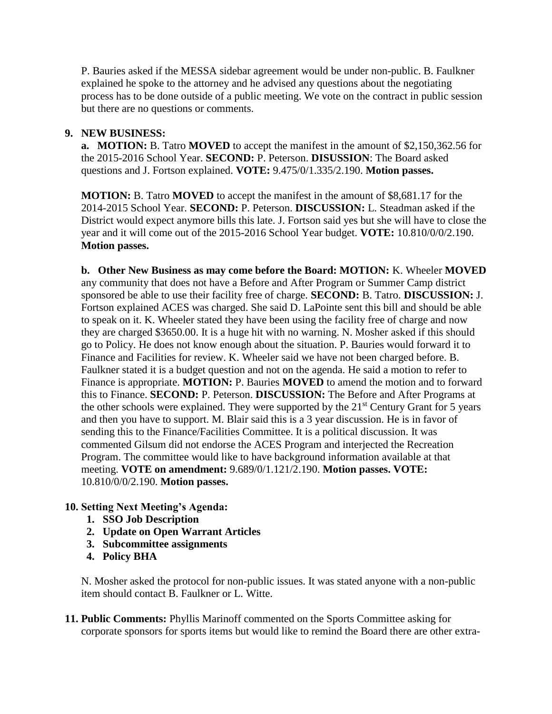P. Bauries asked if the MESSA sidebar agreement would be under non-public. B. Faulkner explained he spoke to the attorney and he advised any questions about the negotiating process has to be done outside of a public meeting. We vote on the contract in public session but there are no questions or comments.

### **9. NEW BUSINESS:**

**a. MOTION:** B. Tatro **MOVED** to accept the manifest in the amount of \$2,150,362.56 for the 2015-2016 School Year. **SECOND:** P. Peterson. **DISUSSION**: The Board asked questions and J. Fortson explained. **VOTE:** 9.475/0/1.335/2.190. **Motion passes.** 

**MOTION:** B. Tatro **MOVED** to accept the manifest in the amount of \$8,681.17 for the 2014-2015 School Year. **SECOND:** P. Peterson. **DISCUSSION:** L. Steadman asked if the District would expect anymore bills this late. J. Fortson said yes but she will have to close the year and it will come out of the 2015-2016 School Year budget. **VOTE:** 10.810/0/0/2.190. **Motion passes.** 

 **b. Other New Business as may come before the Board: MOTION:** K. Wheeler **MOVED**  any community that does not have a Before and After Program or Summer Camp district sponsored be able to use their facility free of charge. **SECOND:** B. Tatro. **DISCUSSION:** J. Fortson explained ACES was charged. She said D. LaPointe sent this bill and should be able to speak on it. K. Wheeler stated they have been using the facility free of charge and now they are charged \$3650.00. It is a huge hit with no warning. N. Mosher asked if this should go to Policy. He does not know enough about the situation. P. Bauries would forward it to Finance and Facilities for review. K. Wheeler said we have not been charged before. B. Faulkner stated it is a budget question and not on the agenda. He said a motion to refer to Finance is appropriate. **MOTION:** P. Bauries **MOVED** to amend the motion and to forward this to Finance. **SECOND:** P. Peterson. **DISCUSSION:** The Before and After Programs at the other schools were explained. They were supported by the  $21<sup>st</sup>$  Century Grant for 5 years and then you have to support. M. Blair said this is a 3 year discussion. He is in favor of sending this to the Finance/Facilities Committee. It is a political discussion. It was commented Gilsum did not endorse the ACES Program and interjected the Recreation Program. The committee would like to have background information available at that meeting. **VOTE on amendment:** 9.689/0/1.121/2.190. **Motion passes. VOTE:**  10.810/0/0/2.190. **Motion passes.** 

## **10. Setting Next Meeting's Agenda:**

- **1. SSO Job Description**
- **2. Update on Open Warrant Articles**
- **3. Subcommittee assignments**
- **4. Policy BHA**

N. Mosher asked the protocol for non-public issues. It was stated anyone with a non-public item should contact B. Faulkner or L. Witte.

**11. Public Comments:** Phyllis Marinoff commented on the Sports Committee asking for corporate sponsors for sports items but would like to remind the Board there are other extra